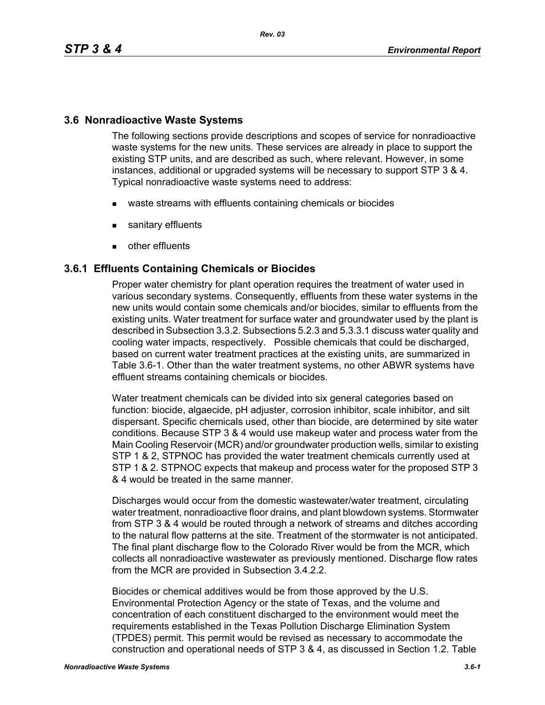## **3.6 Nonradioactive Waste Systems**

The following sections provide descriptions and scopes of service for nonradioactive waste systems for the new units. These services are already in place to support the existing STP units, and are described as such, where relevant. However, in some instances, additional or upgraded systems will be necessary to support STP 3 & 4. Typical nonradioactive waste systems need to address:

- waste streams with effluents containing chemicals or biocides
- **sanitary effluents**
- **other effluents**

## **3.6.1 Effluents Containing Chemicals or Biocides**

Proper water chemistry for plant operation requires the treatment of water used in various secondary systems. Consequently, effluents from these water systems in the new units would contain some chemicals and/or biocides, similar to effluents from the existing units. Water treatment for surface water and groundwater used by the plant is described in Subsection 3.3.2. Subsections 5.2.3 and 5.3.3.1 discuss water quality and cooling water impacts, respectively. Possible chemicals that could be discharged, based on current water treatment practices at the existing units, are summarized in Table 3.6-1. Other than the water treatment systems, no other ABWR systems have effluent streams containing chemicals or biocides.

Water treatment chemicals can be divided into six general categories based on function: biocide, algaecide, pH adjuster, corrosion inhibitor, scale inhibitor, and silt dispersant. Specific chemicals used, other than biocide, are determined by site water conditions. Because STP 3 & 4 would use makeup water and process water from the Main Cooling Reservoir (MCR) and/or groundwater production wells, similar to existing STP 1 & 2, STPNOC has provided the water treatment chemicals currently used at STP 1 & 2. STPNOC expects that makeup and process water for the proposed STP 3 & 4 would be treated in the same manner.

Discharges would occur from the domestic wastewater/water treatment, circulating water treatment, nonradioactive floor drains, and plant blowdown systems. Stormwater from STP 3 & 4 would be routed through a network of streams and ditches according to the natural flow patterns at the site. Treatment of the stormwater is not anticipated. The final plant discharge flow to the Colorado River would be from the MCR, which collects all nonradioactive wastewater as previously mentioned. Discharge flow rates from the MCR are provided in Subsection 3.4.2.2.

Biocides or chemical additives would be from those approved by the U.S. Environmental Protection Agency or the state of Texas, and the volume and concentration of each constituent discharged to the environment would meet the requirements established in the Texas Pollution Discharge Elimination System (TPDES) permit. This permit would be revised as necessary to accommodate the construction and operational needs of STP 3 & 4, as discussed in Section 1.2. Table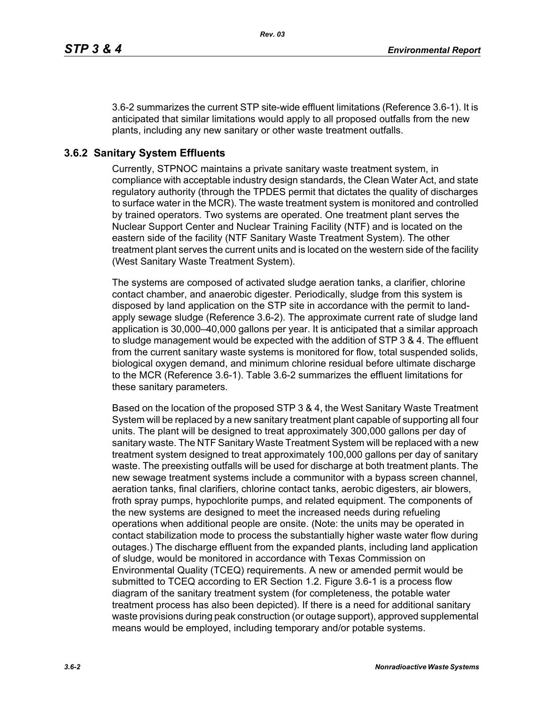3.6-2 summarizes the current STP site-wide effluent limitations (Reference 3.6-1). It is anticipated that similar limitations would apply to all proposed outfalls from the new plants, including any new sanitary or other waste treatment outfalls.

# **3.6.2 Sanitary System Effluents**

Currently, STPNOC maintains a private sanitary waste treatment system, in compliance with acceptable industry design standards, the Clean Water Act, and state regulatory authority (through the TPDES permit that dictates the quality of discharges to surface water in the MCR). The waste treatment system is monitored and controlled by trained operators. Two systems are operated. One treatment plant serves the Nuclear Support Center and Nuclear Training Facility (NTF) and is located on the eastern side of the facility (NTF Sanitary Waste Treatment System). The other treatment plant serves the current units and is located on the western side of the facility (West Sanitary Waste Treatment System).

The systems are composed of activated sludge aeration tanks, a clarifier, chlorine contact chamber, and anaerobic digester. Periodically, sludge from this system is disposed by land application on the STP site in accordance with the permit to landapply sewage sludge (Reference 3.6-2). The approximate current rate of sludge land application is 30,000–40,000 gallons per year. It is anticipated that a similar approach to sludge management would be expected with the addition of STP 3 & 4. The effluent from the current sanitary waste systems is monitored for flow, total suspended solids, biological oxygen demand, and minimum chlorine residual before ultimate discharge to the MCR (Reference 3.6-1). Table 3.6-2 summarizes the effluent limitations for these sanitary parameters.

Based on the location of the proposed STP 3 & 4, the West Sanitary Waste Treatment System will be replaced by a new sanitary treatment plant capable of supporting all four units. The plant will be designed to treat approximately 300,000 gallons per day of sanitary waste. The NTF Sanitary Waste Treatment System will be replaced with a new treatment system designed to treat approximately 100,000 gallons per day of sanitary waste. The preexisting outfalls will be used for discharge at both treatment plants. The new sewage treatment systems include a communitor with a bypass screen channel, aeration tanks, final clarifiers, chlorine contact tanks, aerobic digesters, air blowers, froth spray pumps, hypochlorite pumps, and related equipment. The components of the new systems are designed to meet the increased needs during refueling operations when additional people are onsite. (Note: the units may be operated in contact stabilization mode to process the substantially higher waste water flow during outages.) The discharge effluent from the expanded plants, including land application of sludge, would be monitored in accordance with Texas Commission on Environmental Quality (TCEQ) requirements. A new or amended permit would be submitted to TCEQ according to ER Section 1.2. Figure 3.6-1 is a process flow diagram of the sanitary treatment system (for completeness, the potable water treatment process has also been depicted). If there is a need for additional sanitary waste provisions during peak construction (or outage support), approved supplemental means would be employed, including temporary and/or potable systems.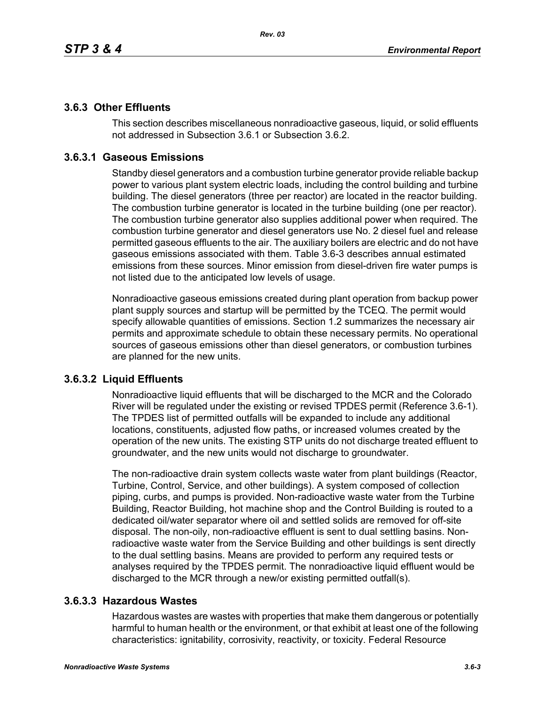## **3.6.3 Other Effluents**

This section describes miscellaneous nonradioactive gaseous, liquid, or solid effluents not addressed in Subsection 3.6.1 or Subsection 3.6.2.

## **3.6.3.1 Gaseous Emissions**

Standby diesel generators and a combustion turbine generator provide reliable backup power to various plant system electric loads, including the control building and turbine building. The diesel generators (three per reactor) are located in the reactor building. The combustion turbine generator is located in the turbine building (one per reactor). The combustion turbine generator also supplies additional power when required. The combustion turbine generator and diesel generators use No. 2 diesel fuel and release permitted gaseous effluents to the air. The auxiliary boilers are electric and do not have gaseous emissions associated with them. Table 3.6-3 describes annual estimated emissions from these sources. Minor emission from diesel-driven fire water pumps is not listed due to the anticipated low levels of usage.

Nonradioactive gaseous emissions created during plant operation from backup power plant supply sources and startup will be permitted by the TCEQ. The permit would specify allowable quantities of emissions. Section 1.2 summarizes the necessary air permits and approximate schedule to obtain these necessary permits. No operational sources of gaseous emissions other than diesel generators, or combustion turbines are planned for the new units.

## **3.6.3.2 Liquid Effluents**

Nonradioactive liquid effluents that will be discharged to the MCR and the Colorado River will be regulated under the existing or revised TPDES permit (Reference 3.6-1). The TPDES list of permitted outfalls will be expanded to include any additional locations, constituents, adjusted flow paths, or increased volumes created by the operation of the new units. The existing STP units do not discharge treated effluent to groundwater, and the new units would not discharge to groundwater.

The non-radioactive drain system collects waste water from plant buildings (Reactor, Turbine, Control, Service, and other buildings). A system composed of collection piping, curbs, and pumps is provided. Non-radioactive waste water from the Turbine Building, Reactor Building, hot machine shop and the Control Building is routed to a dedicated oil/water separator where oil and settled solids are removed for off-site disposal. The non-oily, non-radioactive effluent is sent to dual settling basins. Nonradioactive waste water from the Service Building and other buildings is sent directly to the dual settling basins. Means are provided to perform any required tests or analyses required by the TPDES permit. The nonradioactive liquid effluent would be discharged to the MCR through a new/or existing permitted outfall(s).

## **3.6.3.3 Hazardous Wastes**

Hazardous wastes are wastes with properties that make them dangerous or potentially harmful to human health or the environment, or that exhibit at least one of the following characteristics: ignitability, corrosivity, reactivity, or toxicity. Federal Resource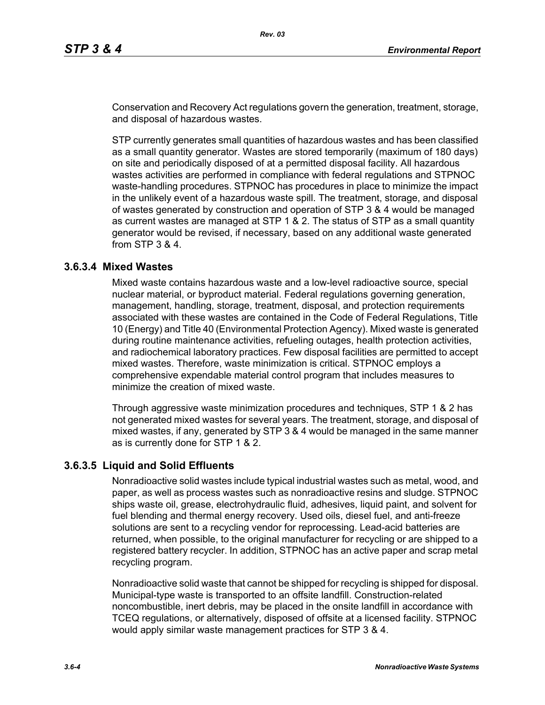Conservation and Recovery Act regulations govern the generation, treatment, storage, and disposal of hazardous wastes.

STP currently generates small quantities of hazardous wastes and has been classified as a small quantity generator. Wastes are stored temporarily (maximum of 180 days) on site and periodically disposed of at a permitted disposal facility. All hazardous wastes activities are performed in compliance with federal regulations and STPNOC waste-handling procedures. STPNOC has procedures in place to minimize the impact in the unlikely event of a hazardous waste spill. The treatment, storage, and disposal of wastes generated by construction and operation of STP 3 & 4 would be managed as current wastes are managed at STP 1 & 2. The status of STP as a small quantity generator would be revised, if necessary, based on any additional waste generated from STP 3 & 4.

### **3.6.3.4 Mixed Wastes**

Mixed waste contains hazardous waste and a low-level radioactive source, special nuclear material, or byproduct material. Federal regulations governing generation, management, handling, storage, treatment, disposal, and protection requirements associated with these wastes are contained in the Code of Federal Regulations, Title 10 (Energy) and Title 40 (Environmental Protection Agency). Mixed waste is generated during routine maintenance activities, refueling outages, health protection activities, and radiochemical laboratory practices. Few disposal facilities are permitted to accept mixed wastes. Therefore, waste minimization is critical. STPNOC employs a comprehensive expendable material control program that includes measures to minimize the creation of mixed waste.

Through aggressive waste minimization procedures and techniques, STP 1 & 2 has not generated mixed wastes for several years. The treatment, storage, and disposal of mixed wastes, if any, generated by STP 3 & 4 would be managed in the same manner as is currently done for STP 1 & 2.

### **3.6.3.5 Liquid and Solid Effluents**

Nonradioactive solid wastes include typical industrial wastes such as metal, wood, and paper, as well as process wastes such as nonradioactive resins and sludge. STPNOC ships waste oil, grease, electrohydraulic fluid, adhesives, liquid paint, and solvent for fuel blending and thermal energy recovery. Used oils, diesel fuel, and anti-freeze solutions are sent to a recycling vendor for reprocessing. Lead-acid batteries are returned, when possible, to the original manufacturer for recycling or are shipped to a registered battery recycler. In addition, STPNOC has an active paper and scrap metal recycling program.

Nonradioactive solid waste that cannot be shipped for recycling is shipped for disposal. Municipal-type waste is transported to an offsite landfill. Construction-related noncombustible, inert debris, may be placed in the onsite landfill in accordance with TCEQ regulations, or alternatively, disposed of offsite at a licensed facility. STPNOC would apply similar waste management practices for STP 3 & 4.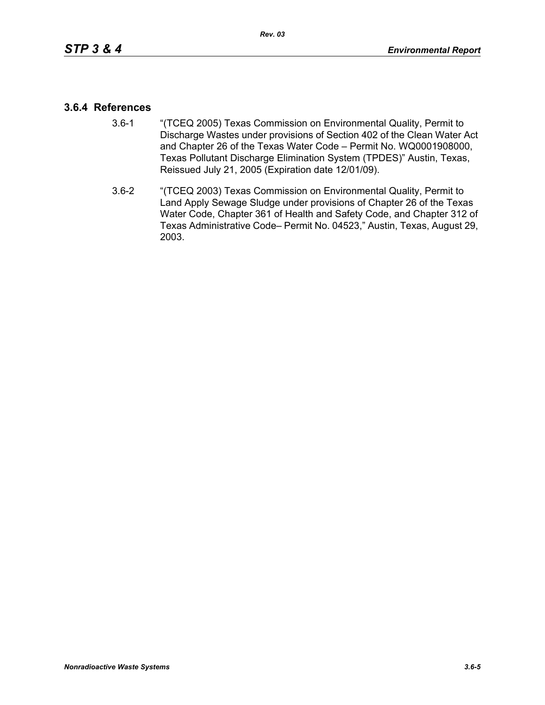### **3.6.4 References**

- 3.6-1 "(TCEQ 2005) Texas Commission on Environmental Quality, Permit to Discharge Wastes under provisions of Section 402 of the Clean Water Act and Chapter 26 of the Texas Water Code – Permit No. WQ0001908000, Texas Pollutant Discharge Elimination System (TPDES)" Austin, Texas, Reissued July 21, 2005 (Expiration date 12/01/09).
- 3.6-2 "(TCEQ 2003) Texas Commission on Environmental Quality, Permit to Land Apply Sewage Sludge under provisions of Chapter 26 of the Texas Water Code, Chapter 361 of Health and Safety Code, and Chapter 312 of Texas Administrative Code– Permit No. 04523," Austin, Texas, August 29, 2003.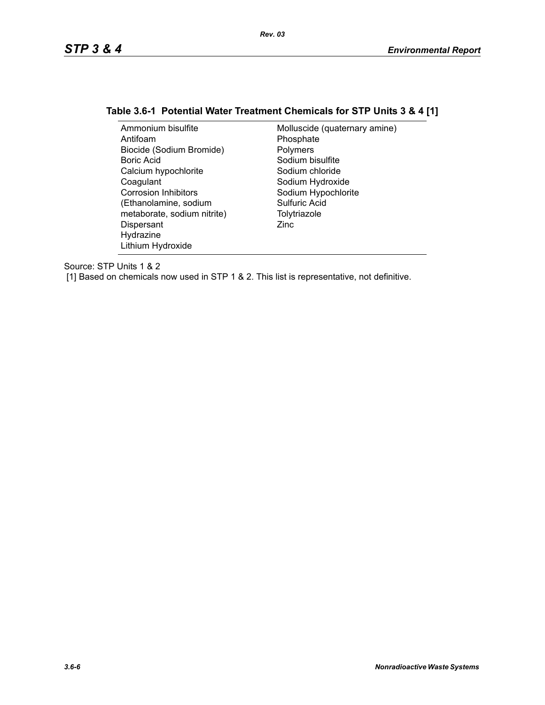## **Table 3.6-1 Potential Water Treatment Chemicals for STP Units 3 & 4 [1]**

| Ammonium bisulfite          | Molluscide (quaternary amine) |
|-----------------------------|-------------------------------|
| Antifoam                    | Phosphate                     |
| Biocide (Sodium Bromide)    | Polymers                      |
| Boric Acid                  | Sodium bisulfite              |
| Calcium hypochlorite        | Sodium chloride               |
| Coagulant                   | Sodium Hydroxide              |
| <b>Corrosion Inhibitors</b> | Sodium Hypochlorite           |
| (Ethanolamine, sodium       | Sulfuric Acid                 |
| metaborate, sodium nitrite) | Tolytriazole                  |
| Dispersant                  | Zinc                          |
| Hydrazine                   |                               |
| Lithium Hydroxide           |                               |

Source: STP Units 1 & 2

[1] Based on chemicals now used in STP 1 & 2. This list is representative, not definitive.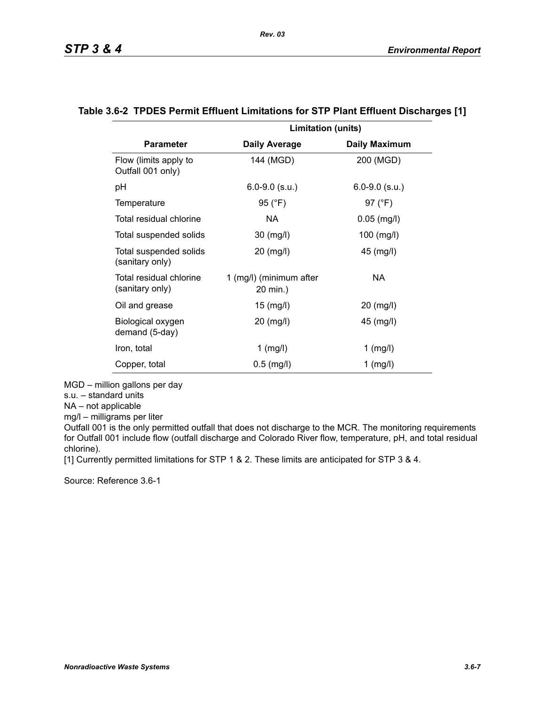|                                            | <b>Limitation (units)</b>           |                      |
|--------------------------------------------|-------------------------------------|----------------------|
| <b>Parameter</b>                           | <b>Daily Average</b>                | <b>Daily Maximum</b> |
| Flow (limits apply to<br>Outfall 001 only) | 144 (MGD)                           | 200 (MGD)            |
| рH                                         | $6.0 - 9.0$ (s.u.)                  | $6.0 - 9.0$ (s.u.)   |
| Temperature                                | 95 (°F)                             | 97 (°F)              |
| Total residual chlorine                    | NA.                                 | $0.05$ (mg/l)        |
| Total suspended solids                     | 30 (mg/l)                           | 100 (mg/l)           |
| Total suspended solids<br>(sanitary only)  | 20 (mg/l)                           | 45 (mg/l)            |
| Total residual chlorine<br>(sanitary only) | 1 (mg/l) (minimum after<br>20 min.) | NA                   |
| Oil and grease                             | 15 (mg/l)                           | 20 (mg/l)            |
| Biological oxygen<br>demand (5-day)        | 20 (mg/l)                           | 45 (mg/l)            |
| Iron, total                                | $1$ (mg/l)                          | $1$ (mg/l)           |
| Copper, total                              | $0.5$ (mg/l)                        | $1$ (mg/l)           |

#### **Table 3.6-2 TPDES Permit Effluent Limitations for STP Plant Effluent Discharges [1]**

MGD – million gallons per day

s.u. – standard units

NA – not applicable

mg/l – milligrams per liter

Outfall 001 is the only permitted outfall that does not discharge to the MCR. The monitoring requirements for Outfall 001 include flow (outfall discharge and Colorado River flow, temperature, pH, and total residual chlorine).

[1] Currently permitted limitations for STP 1 & 2. These limits are anticipated for STP 3 & 4.

Source: Reference 3.6-1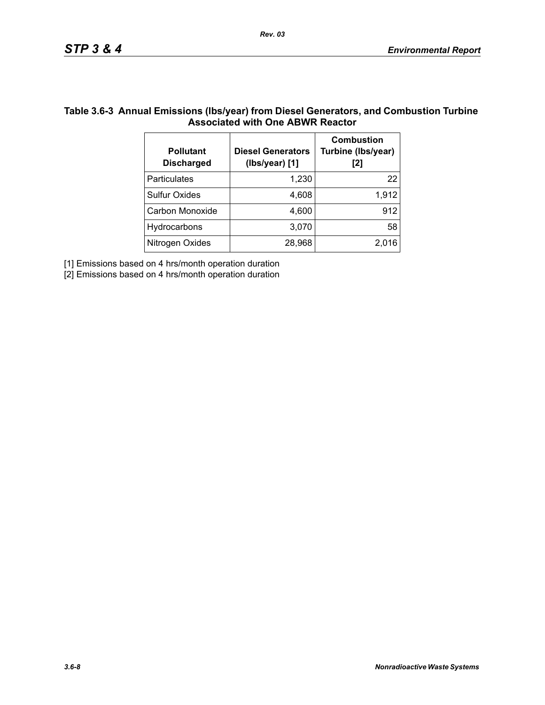### **Table 3.6-3 Annual Emissions (lbs/year) from Diesel Generators, and Combustion Turbine Associated with One ABWR Reactor**

*Rev. 03*

| <b>Pollutant</b><br><b>Discharged</b> | <b>Diesel Generators</b><br>(Ibs/year) [1] | <b>Combustion</b><br>Turbine (Ibs/year)<br>[2] |
|---------------------------------------|--------------------------------------------|------------------------------------------------|
| <b>Particulates</b>                   | 1,230                                      | 22                                             |
| <b>Sulfur Oxides</b>                  | 4,608                                      | 1,912                                          |
| Carbon Monoxide                       | 4,600                                      | 912                                            |
| Hydrocarbons                          | 3,070                                      | 58                                             |
| Nitrogen Oxides                       | 28,968                                     | 2.016                                          |

[1] Emissions based on 4 hrs/month operation duration

[2] Emissions based on 4 hrs/month operation duration